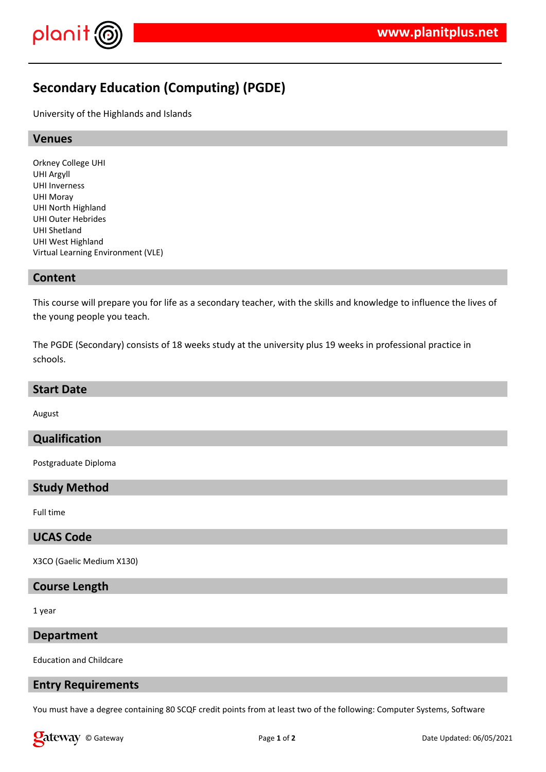

# **Secondary Education (Computing) (PGDE)**

University of the Highlands and Islands

#### **Venues**

Orkney College UHI UHI Argyll UHI Inverness UHI Moray UHI North Highland UHI Outer Hebrides UHI Shetland UHI West Highland Virtual Learning Environment (VLE)

#### **Content**

This course will prepare you for life as a secondary teacher, with the skills and knowledge to influence the lives of the young people you teach.

The PGDE (Secondary) consists of 18 weeks study at the university plus 19 weeks in professional practice in schools.

#### **Start Date**

August

## **Qualification**

Postgraduate Diploma

## **Study Method**

Full time

## **UCAS Code**

X3CO (Gaelic Medium X130)

#### **Course Length**

1 year

#### **Department**

Education and Childcare

#### **Entry Requirements**

You must have a degree containing 80 SCQF credit points from at least two of the following: Computer Systems, Software